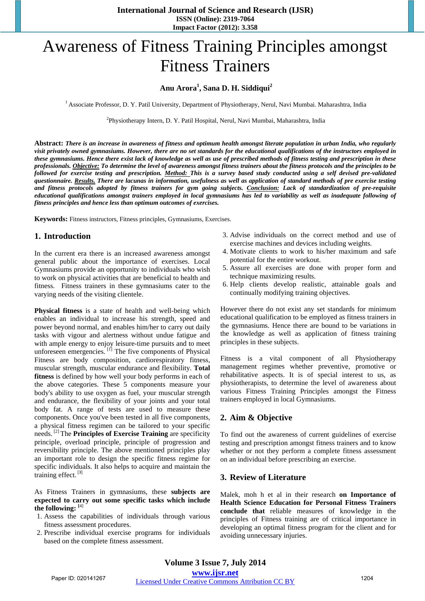# Awareness of Fitness Training Principles amongst Fitness Trainers

#### **Anu Arora<sup>1</sup> , Sana D. H. Siddiqui<sup>2</sup>**

<sup>1</sup> Associate Professor, D. Y. Patil University, Department of Physiotherapy, Nerul, Navi Mumbai. Maharashtra, India

2 Physiotherapy Intern, D. Y. Patil Hospital, Nerul, Navi Mumbai, Maharashtra, India

**Abstract:** *There is an increase in awareness of fitness and optimum health amongst literate population in urban India, who regularly visit privately owned gymnasiums. However, there are no set standards for the educational qualifications of the instructors employed in these gymnasiums. Hence there exist lack of knowledge as well as use of prescribed methods of fitness testing and prescription in these professionals. Objective: To determine the level of awareness amongst fitness trainers about the fitness protocols and the principles to be followed for exercise testing and prescription. Method: This is a survey based study conducted using a self devised pre-validated questionnaire. Results. There are lacunas in information, usefulness as well as application of standard methods of pre exercise testing and fitness protocols adopted by fitness trainers for gym going subjects. Conclusion: Lack of standardization of pre-requisite educational qualifications amongst trainers employed in local gymnasiums has led to variability as well as inadequate following of fitness principles and hence less than optimum outcomes of exercises.*

**Keywords:** Fitness instructors, Fitness principles, Gymnasiums, Exercises.

#### **1. Introduction**

In the current era there is an increased awareness amongst general public about the importance of exercises. Local Gymnasiums provide an opportunity to individuals who wish to work on physical activities that are beneficial to health and fitness. Fitness trainers in these gymnasiums cater to the varying needs of the visiting clientele.

**Physical fitness** is a state of health and well-being which enables an individual to increase his strength, speed and power beyond normal, and enables him/her to carry out daily tasks with vigour and alertness without undue fatigue and with ample energy to enjoy leisure-time pursuits and to meet unforeseen emergencies.  $[1]$  The five components of Physical Fitness are body composition, cardiorespiratory fitness, muscular strength, muscular endurance and flexibility. **Total fitness** is defined by how well your body performs in each of the above categories. These 5 components measure your body's ability to use oxygen as fuel, your muscular strength and endurance, the flexibility of your joints and your total body fat. A range of tests are used to measure these components. Once you've been tested in all five components, a physical fitness regimen can be tailored to your specific needs. [2] The **Principles of Exercise Training** are specificity principle, overload principle, principle of progression and reversibility principle. The above mentioned principles play an important role to design the specific fitness regime for specific individuals. It also helps to acquire and maintain the training effect.<sup>[3]</sup>

As Fitness Trainers in gymnasiums, these **subjects are expected to carry out some specific tasks which include the following: [**4]

- 1. Assess the capabilities of individuals through various fitness assessment procedures.
- 2. Prescribe individual exercise programs for individuals based on the complete fitness assessment.
- 3. Advise individuals on the correct method and use of exercise machines and devices including weights.
- 4. Motivate clients to work to his/her maximum and safe potential for the entire workout.
- 5. Assure all exercises are done with proper form and technique maximizing results.
- 6. Help clients develop realistic, attainable goals and continually modifying training objectives.

However there do not exist any set standards for minimum educational qualification to be employed as fitness trainers in the gymnasiums. Hence there are bound to be variations in the knowledge as well as application of fitness training principles in these subjects.

Fitness is a vital component of all Physiotherapy management regimes whether preventive, promotive or rehabilitative aspects. It is of special interest to us, as physiotherapists, to determine the level of awareness about various Fitness Training Principles amongst the Fitness trainers employed in local Gymnasiums.

#### **2. Aim & Objective**

To find out the awareness of current guidelines of exercise testing and prescription amongst fitness trainers and to know whether or not they perform a complete fitness assessment on an individual before prescribing an exercise.

### **3. Review of Literature**

Malek, moh h et al in their research **on Importance of Health Science Education for Personal Fitness Trainers conclude that** reliable measures of knowledge in the principles of Fitness training are of critical importance in developing an optimal fitness program for the client and for avoiding unnecessary injuries.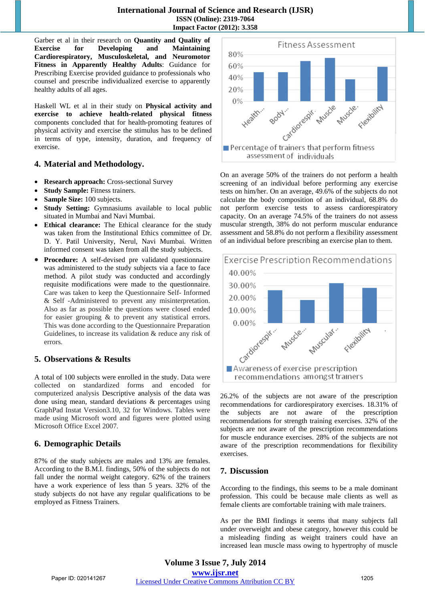Garber et al in their research on **Quantity and Quality of Exercise for Developing and Maintaining Cardiorespiratory, Musculoskeletal, and Neuromotor Fitness in Apparently Healthy Adults**: Guidance for Prescribing Exercise provided guidance to professionals who counsel and prescribe individualized exercise to apparently healthy adults of all ages.

Haskell WL et al in their study on **Physical activity and exercise to achieve health-related physical fitness** components concluded that for health-promoting features of physical activity and exercise the stimulus has to be defined in terms of type, intensity, duration, and frequency of exercise.

### **4. Material and Methodology.**

- **Research approach:** Cross-sectional Survey
- **Study Sample:** Fitness trainers.
- **Sample Size:** 100 subjects.
- **Study Setting:** Gymnasiums available to local public situated in Mumbai and Navi Mumbai.
- **Ethical clearance:** The Ethical clearance for the study was taken from the Institutional Ethics committee of Dr. D. Y. Patil University, Nerul, Navi Mumbai. Written informed consent was taken from all the study subjects.
- **Procedure:** A self-devised pre validated questionnaire was administered to the study subjects via a face to face method. A pilot study was conducted and accordingly requisite modifications were made to the questionnaire. Care was taken to keep the Questionnaire Self- Informed & Self -Administered to prevent any misinterpretation. Also as far as possible the questions were closed ended for easier grouping & to prevent any statistical errors. This was done according to the Questionnaire Preparation Guidelines, to increase its validation & reduce any risk of errors.

### **5. Observations & Results**

A total of 100 subjects were enrolled in the study. Data were collected on standardized forms and encoded for computerized analysis Descriptive analysis of the data was done using mean, standard deviations & percentages using GraphPad Instat Version3.10, 32 for Windows. Tables were made using Microsoft word and figures were plotted using Microsoft Office Excel 2007.

### **6. Demographic Details**

87% of the study subjects are males and 13% are females. According to the B.M.I. findings, 50% of the subjects do not fall under the normal weight category. 62% of the trainers have a work experience of less than 5 years. 32% of the study subjects do not have any regular qualifications to be employed as Fitness Trainers.



On an average 50% of the trainers do not perform a health screening of an individual before performing any exercise tests on him/her. On an average, 49.6% of the subjects do not calculate the body composition of an individual, 68.8% do not perform exercise tests to assess cardiorespiratory capacity. On an average 74.5% of the trainers do not assess muscular strength, 38% do not perform muscular endurance assessment and 58.8% do not perform a flexibility assessment of an individual before prescribing an exercise plan to them.



26.2% of the subjects are not aware of the prescription recommendations for cardiorespiratory exercises. 18.31% of the subjects are not aware of the prescription recommendations for strength training exercises. 32% of the subjects are not aware of the prescription recommendations for muscle endurance exercises. 28% of the subjects are not aware of the prescription recommendations for flexibility exercises.

### **7. Discussion**

According to the findings, this seems to be a male dominant profession. This could be because male clients as well as female clients are comfortable training with male trainers.

As per the BMI findings it seems that many subjects fall under overweight and obese category, however this could be a misleading finding as weight trainers could have an increased lean muscle mass owing to hypertrophy of muscle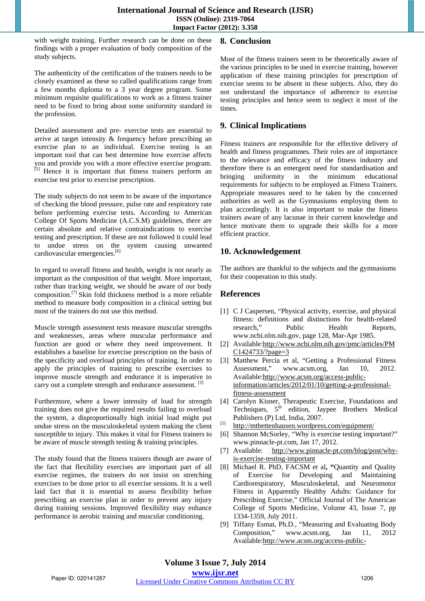with weight training. Further research can be done on these findings with a proper evaluation of body composition of the study subjects.

The authenticity of the certification of the trainers needs to be closely examined as these so called qualifications range from a few months diploma to a 3 year degree program. Some minimum requisite qualifications to work as a fitness trainer need to be fixed to bring about some uniformity standard in the profession.

Detailed assessment and pre- exercise tests are essential to arrive at target intensity & frequency before prescribing an exercise plan to an individual. Exercise testing is an important tool that can best determine how exercise affects you and provide you with a more effective exercise program. [5] Hence it is important that fitness trainers perform an exercise test prior to exercise prescription.

The study subjects do not seem to be aware of the importance of checking the blood pressure, pulse rate and respiratory rate before performing exercise tests. According to American College Of Sports Medicine (A.C.S.M) guidelines, there are certain absolute and relative contraindications to exercise testing and prescription. If these are not followed it could lead to undue stress on the system causing unwanted cardiovascular emergencies.<sup>[6]</sup>

In regard to overall fitness and health, weight is not nearly as important as the composition of that weight. More important, rather than tracking weight, we should be aware of our body composition.<sup>[7]</sup> Skin fold thickness method is a more reliable method to measure body composition in a clinical setting but most of the trainers do not use this method.

Muscle strength assessment tests measure muscular strengths and weaknesses, areas where muscular performance and function are good or where they need improvement. It establishes a baseline for exercise prescription on the basis of the specificity and overload principles of training. In order to apply the principles of training to prescribe exercises to improve muscle strength and endurance it is imperative to carry out a complete strength and endurance assessment. <sup>[3]</sup>

Furthermore, where a lower intensity of load for strength training does not give the required results failing to overload the system, a disproportionally high initial load might put undue stress on the musculoskeletal system making the client susceptible to injury. This makes it vital for Fitness trainers to be aware of muscle strength testing & training principles.

The study found that the fitness trainers though are aware of the fact that flexibility exercises are important part of all exercise regimes, the trainers do not insist on stretching exercises to be done prior to all exercise sessions. It is a well laid fact that it is essential to assess flexibility before prescribing an exercise plan in order to prevent any injury during training sessions. Improved flexibility may enhance performance in aerobic training and muscular conditioning.

## **8. Conclusion**

Most of the fitness trainers seem to be theoretically aware of the various principles to be used in exercise training, however application of these training principles for prescription of exercise seems to be absent in these subjects. Also, they do not understand the importance of adherence to exercise testing principles and hence seem to neglect it most of the times.

## **9. Clinical Implications**

Fitness trainers are responsible for the effective delivery of health and fitness programmes. Their roles are of importance to the relevance and efficacy of the fitness industry and therefore there is an emergent need for standardisation and bringing uniformity in the minimum educational requirements for subjects to be employed as Fitness Trainers. Appropriate measures need to be taken by the concerned authorities as well as the Gymnasiums employing them to plan accordingly. It is also important to make the fitness trainers aware of any lacunae in their current knowledge and hence motivate them to upgrade their skills for a more efficient practice.

## **10. Acknowledgement**

The authors are thankful to the subjects and the gymnasiums for their cooperation to this study.

# **References**

- [1] C J Caspersen, "Physical activity, exercise, and physical fitness: definitions and distinctions for health-related research," Public Health Reports, www.ncbi.nlm.nih.gov, page 128, Mar-Apr 1985.
- [2] Available:http://www.ncbi.nlm.nih.gov/pmc/articles/PM C1424733/?page=3
- [3] Matthew Percia et al, "Getting a Professional Fitness Assessment," www.acsm.org, Jan 10, 2012. Available:http://www.acsm.org/access-publicinformation/articles/2012/01/10/getting-a-professionalfitness-assessment
- [4] Carolyn Kisner, Therapeutic Exercise, Foundations and Techniques,  $5<sup>th</sup>$  edition, Jaypee Brothers Medical Publishers (P) Ltd, India, 2007.
- [5] http://mtbettenhausen.wordpress.com/equipment/
- [6] Shannon McSorley, "Why is exercise testing important?" www.pinnacle-pt.com, Jan 17, 2012.
- [7] Available: http://www.pinnacle-pt.com/blog/post/whyis-exercise-testing-important
- [8] Michael R. PhD, FACSM et al**, "**Quantity and Quality of Exercise for Developing and Maintaining Cardiorespiratory, Musculoskeletal, and Neuromotor Fitness in Apparently Healthy Adults: Guidance for Prescribing Exercise," Official Journal of The American College of Sports Medicine, Volume 43, Issue 7, pp 1334-1359, July 2011.
- [9] Tiffany Esmat, Ph.D., "Measuring and Evaluating Body Composition," www.acsm.org, Jan 11, 2012 Available:http://www.acsm.org/access-public-